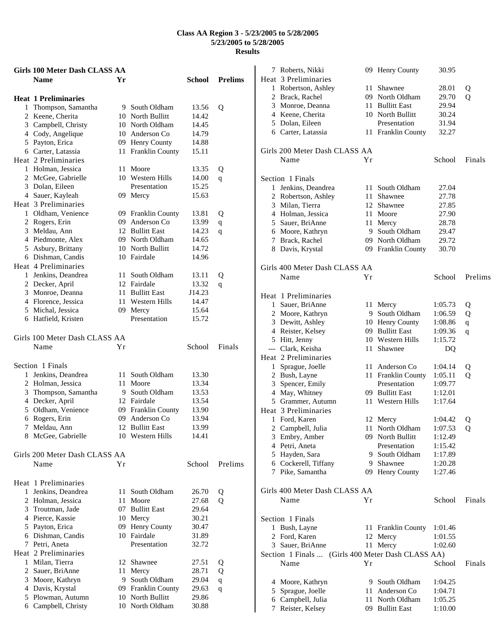|              | Girls 100 Meter Dash CLASS AA |     |                    |        |                |
|--------------|-------------------------------|-----|--------------------|--------|----------------|
|              | <b>Name</b>                   | Yr  |                    | School | <b>Prelims</b> |
|              | <b>Heat 1 Preliminaries</b>   |     |                    |        |                |
| $\mathbf{1}$ | Thompson, Samantha            |     | 9 South Oldham     | 13.56  | Q              |
|              | 2 Keene, Cherita              |     | 10 North Bullitt   | 14.42  |                |
|              | 3 Campbell, Christy           |     | 10 North Oldham    | 14.45  |                |
|              | 4 Cody, Angelique             |     | 10 Anderson Co     | 14.79  |                |
|              | 5 Payton, Erica               |     | 09 Henry County    | 14.88  |                |
|              | 6 Carter, Latassia            |     | 11 Franklin County | 15.11  |                |
|              | Heat 2 Preliminaries          |     |                    |        |                |
|              | 1 Holman, Jessica             | 11  | Moore              | 13.35  | Q              |
|              | 2 McGee, Gabrielle            |     | 10 Western Hills   | 14.00  | q              |
|              | 3 Dolan, Eileen               |     | Presentation       | 15.25  |                |
|              | 4 Sauer, Kayleah              |     | 09 Mercy           | 15.63  |                |
|              | Heat 3 Preliminaries          |     |                    |        |                |
|              | 1 Oldham, Venience            |     | 09 Franklin County | 13.81  | Q              |
|              | 2 Rogers, Erin                |     | 09 Anderson Co     | 13.99  | $\mathbf q$    |
|              | 3 Meldau, Ann                 |     | 12 Bullitt East    | 14.23  | q              |
|              | 4 Piedmonte, Alex             |     | 09 North Oldham    | 14.65  |                |
|              | 5 Asbury, Brittany            |     | 10 North Bullitt   | 14.72  |                |
|              | 6 Dishman, Candis             |     | 10 Fairdale        | 14.96  |                |
|              | Heat 4 Preliminaries          |     |                    |        |                |
|              | 1 Jenkins, Deandrea           |     | 11 South Oldham    | 13.11  | Q              |
|              | 2 Decker, April               |     | 12 Fairdale        | 13.32  | q              |
|              | 3 Monroe, Deanna              |     | 11 Bullitt East    | J14.23 |                |
|              | 4 Florence, Jessica           | 11  | Western Hills      | 14.47  |                |
|              | 5 Michal, Jessica             | 09- | Mercy              | 15.64  |                |
|              | 6 Hatfield, Kristen           |     | Presentation       | 15.72  |                |
|              | Girls 100 Meter Dash CLASS AA |     |                    |        |                |
|              | Name                          | Υr  |                    | School | Finals         |
|              |                               |     |                    |        |                |
|              | Section 1 Finals              |     |                    |        |                |
|              | 1 Jenkins, Deandrea           | 11  | South Oldham       | 13.30  |                |
|              | 2 Holman, Jessica             | 11  | Moore              | 13.34  |                |
|              | 3 Thompson, Samantha          |     | 9 South Oldham     | 13.53  |                |
|              | 4 Decker, April               |     | 12 Fairdale        | 13.54  |                |
|              | 5 Oldham, Venience            |     | 09 Franklin County | 13.90  |                |
|              | 6 Rogers, Erin                | 09  | Anderson Co        | 13.94  |                |
| 7.           | Meldau, Ann                   |     | 12 Bullitt East    | 13.99  |                |
|              | 8 McGee, Gabrielle            |     | 10 Western Hills   | 14.41  |                |
|              | Girls 200 Meter Dash CLASS AA |     |                    |        |                |
|              | Name                          | Υr  |                    | School | Prelims        |
|              |                               |     |                    |        |                |
|              | Heat 1 Preliminaries          |     |                    |        |                |
| $\mathbf{1}$ | Jenkins, Deandrea             | 11  | South Oldham       | 26.70  | Q              |
|              | 2 Holman, Jessica             | 11  | Moore              | 27.68  | Q              |
|              | 3 Troutman, Jade              |     | 07 Bullitt East    | 29.64  |                |
|              | 4 Pierce, Kassie              |     | 10 Mercy           | 30.21  |                |
|              | 5 Payton, Erica               |     | 09 Henry County    | 30.47  |                |
|              | 6 Dishman, Candis             | 10  | Fairdale           | 31.89  |                |
|              | 7 Petri, Aneta                |     | Presentation       | 32.72  |                |
|              | Heat 2 Preliminaries          |     |                    |        |                |
|              | 1 Milan, Tierra               |     | 12 Shawnee         | 27.51  | Q              |
|              | 2 Sauer, BriAnne              | 11  | Mercy              | 28.71  | Q              |
|              | 3 Moore, Kathryn              | 9.  | South Oldham       | 29.04  | $\mathbf q$    |
|              | 4 Davis, Krystal              |     | 09 Franklin County | 29.63  | q              |
|              | 5 Plowman, Autumn             |     | 10 North Bullitt   | 29.86  |                |
|              | 6 Campbell, Christy           |     | 10 North Oldham    | 30.88  |                |

| 7 | Roberts, Nikki                                    |    | 09 Henry County        | 30.95   |             |
|---|---------------------------------------------------|----|------------------------|---------|-------------|
|   | Heat 3 Preliminaries                              |    |                        |         |             |
|   | 1 Robertson, Ashley                               | 11 | Shawnee                | 28.01   | Q           |
|   | 2 Brack, Rachel                                   |    | 09 North Oldham        | 29.70   | Q           |
|   | 3 Monroe, Deanna                                  |    | 11 Bullitt East        | 29.94   |             |
|   | 4 Keene, Cherita                                  |    | 10 North Bullitt       | 30.24   |             |
|   | 5 Dolan, Eileen                                   |    | Presentation           | 31.94   |             |
|   | 6 Carter, Latassia                                |    | 11 Franklin County     | 32.27   |             |
|   |                                                   |    |                        |         |             |
|   | Girls 200 Meter Dash CLASS AA                     |    |                        |         |             |
|   | Name                                              | Υr |                        | School  | Finals      |
|   |                                                   |    |                        |         |             |
|   |                                                   |    |                        |         |             |
|   | Section 1 Finals                                  |    |                        |         |             |
|   | 1 Jenkins, Deandrea                               | 11 | South Oldham           | 27.04   |             |
|   | 2 Robertson, Ashley                               |    | 11 Shawnee             | 27.78   |             |
|   | 3 Milan, Tierra                                   | 12 | Shawnee                | 27.85   |             |
|   | 4 Holman, Jessica                                 | 11 | Moore                  | 27.90   |             |
|   | 5 Sauer, BriAnne                                  |    | 11 Mercy               | 28.78   |             |
|   | 6 Moore, Kathryn                                  |    | 9 South Oldham         | 29.47   |             |
|   | 7 Brack, Rachel                                   |    | 09 North Oldham        | 29.72   |             |
|   | 8 Davis, Krystal                                  |    | 09 Franklin County     | 30.70   |             |
|   |                                                   |    |                        |         |             |
|   | Girls 400 Meter Dash CLASS AA                     |    |                        |         |             |
|   | Name                                              | Υr |                        | School  | Prelims     |
|   |                                                   |    |                        |         |             |
|   | Heat 1 Preliminaries                              |    |                        |         |             |
|   | 1 Sauer, BriAnne                                  |    | 11 Mercy               | 1:05.73 |             |
|   |                                                   |    | 9 South Oldham         |         | Q           |
|   | 2 Moore, Kathryn                                  |    |                        | 1:06.59 | Q           |
|   | 3 Dewitt, Ashley                                  |    | 10 Henry County        | 1:08.86 | $\mathbf q$ |
|   | 4 Reister, Kelsey                                 |    | 09 Bullitt East        | 1:09.36 | q           |
|   | 5 Hitt, Jenny                                     |    | 10 Western Hills       | 1:15.72 |             |
|   | --- Clark, Keisha                                 | 11 | Shawnee                | DQ      |             |
|   | Heat 2 Preliminaries                              |    |                        |         |             |
|   | 1 Sprague, Joelle                                 | 11 | Anderson Co            | 1:04.14 | Q           |
|   | 2 Bush, Layne                                     | 11 | <b>Franklin County</b> | 1:05.11 | Q           |
|   | 3 Spencer, Emily                                  |    | Presentation           | 1:09.77 |             |
|   | 4 May, Whitney                                    |    | 09 Bullitt East        | 1:12.01 |             |
|   | 5 Grammer, Autumn                                 |    | 11 Western Hills       | 1:17.64 |             |
|   | Heat 3 Preliminaries                              |    |                        |         |             |
|   | 1 Ford, Karen                                     | 12 | Mercy                  | 1:04.42 | Q           |
| 2 | Campbell, Julia                                   | 11 | North Oldham           | 1:07.53 | о           |
|   | 3 Embry, Amber                                    |    | 09 North Bullitt       | 1:12.49 |             |
|   | 4 Petri, Aneta                                    |    | Presentation           | 1:15.42 |             |
|   | 5 Hayden, Sara                                    |    | 9 South Oldham         | 1:17.89 |             |
|   | 6 Cockerell, Tiffany                              |    | 9 Shawnee              | 1:20.28 |             |
|   | 7 Pike, Samantha                                  |    | 09 Henry County        | 1:27.46 |             |
|   |                                                   |    |                        |         |             |
|   |                                                   |    |                        |         |             |
|   | Girls 400 Meter Dash CLASS AA                     |    |                        |         |             |
|   | Name                                              | Υr |                        | School  | Finals      |
|   |                                                   |    |                        |         |             |
|   | Section 1 Finals                                  |    |                        |         |             |
|   | 1 Bush, Layne                                     | 11 | <b>Franklin County</b> | 1:01.46 |             |
|   | 2 Ford, Karen                                     | 12 | Mercy                  | 1:01.55 |             |
|   | 3 Sauer, BriAnne                                  | 11 | Mercy                  | 1:02.60 |             |
|   | Section 1 Finals  (Girls 400 Meter Dash CLASS AA) |    |                        |         |             |
|   | Name                                              | Υr |                        | School  | Finals      |
|   |                                                   |    |                        |         |             |
|   | 4 Moore, Kathryn                                  |    | 9 South Oldham         | 1:04.25 |             |
|   | 5 Sprague, Joelle                                 |    | 11 Anderson Co         | 1:04.71 |             |
|   | 6 Campbell, Julia                                 | 11 | North Oldham           | 1:05.25 |             |
|   | 7 Reister, Kelsey                                 |    | 09 Bullitt East        | 1:10.00 |             |
|   |                                                   |    |                        |         |             |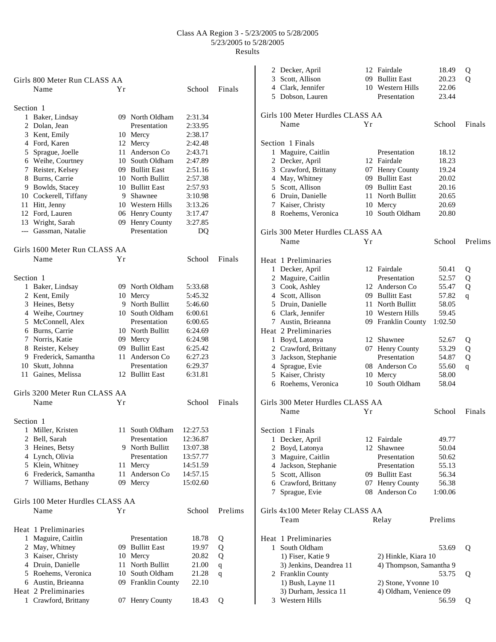|           |                                          |     |                     |          |         |   | 2 Decker, April                  |    | 12 Fairdale             | 18.49   | Q           |
|-----------|------------------------------------------|-----|---------------------|----------|---------|---|----------------------------------|----|-------------------------|---------|-------------|
|           | Girls 800 Meter Run CLASS AA             |     |                     |          |         | 3 | Scott, Allison                   | 09 | <b>Bullitt East</b>     | 20.23   | Q           |
|           | Name                                     | Υr  |                     | School   | Finals  | 4 | Clark, Jennifer                  |    | 10 Western Hills        | 22.06   |             |
|           |                                          |     |                     |          |         |   | 5 Dobson, Lauren                 |    | Presentation            | 23.44   |             |
| Section 1 |                                          |     |                     |          |         |   |                                  |    |                         |         |             |
|           | 1 Baker, Lindsay                         |     | 09 North Oldham     | 2:31.34  |         |   | Girls 100 Meter Hurdles CLASS AA |    |                         |         |             |
|           | 2 Dolan, Jean                            |     | Presentation        | 2:33.95  |         |   | Name                             | Yr |                         | School  | Finals      |
|           | 3 Kent, Emily                            |     | 10 Mercy            | 2:38.17  |         |   |                                  |    |                         |         |             |
|           | 4 Ford, Karen                            |     | 12 Mercy            | 2:42.48  |         |   | Section 1 Finals                 |    |                         |         |             |
|           | 5 Sprague, Joelle                        |     | 11 Anderson Co      | 2:43.71  |         |   | 1 Maguire, Caitlin               |    | Presentation            | 18.12   |             |
|           | 6 Weihe, Courtney                        | 10  | South Oldham        | 2:47.89  |         |   | 2 Decker, April                  |    | 12 Fairdale             | 18.23   |             |
|           | 7 Reister, Kelsey                        | 09  | <b>Bullitt East</b> | 2:51.16  |         |   | 3 Crawford, Brittany             |    | 07 Henry County         | 19.24   |             |
|           | 8 Burns, Carrie                          |     | 10 North Bullitt    | 2:57.38  |         |   | 4 May, Whitney                   |    | 09 Bullitt East         | 20.02   |             |
|           | 9 Bowlds, Stacey                         |     | 10 Bullitt East     | 2:57.93  |         | 5 | Scott, Allison                   |    | 09 Bullitt East         | 20.16   |             |
|           | 10 Cockerell, Tiffany                    | 9   | Shawnee             | 3:10.98  |         |   | 6 Druin, Danielle                |    | 11 North Bullitt        | 20.65   |             |
|           | 11 Hitt, Jenny                           |     | 10 Western Hills    | 3:13.26  |         | 7 | Kaiser, Christy                  |    | 10 Mercy                | 20.69   |             |
|           | 12 Ford, Lauren                          |     | 06 Henry County     | 3:17.47  |         |   | 8 Roehems, Veronica              |    | 10 South Oldham         | 20.80   |             |
|           |                                          |     | 09 Henry County     | 3:27.85  |         |   |                                  |    |                         |         |             |
|           | 13 Wright, Sarah<br>--- Gassman, Natalie |     | Presentation        |          |         |   |                                  |    |                         |         |             |
|           |                                          |     |                     | DQ       |         |   | Girls 300 Meter Hurdles CLASS AA |    |                         |         |             |
|           |                                          |     |                     |          |         |   | Name                             | Yr |                         | School  | Prelims     |
|           | Girls 1600 Meter Run CLASS AA            |     |                     |          |         |   |                                  |    |                         |         |             |
|           | Name                                     | Υr  |                     | School   | Finals  |   | Heat 1 Preliminaries             |    |                         |         |             |
|           |                                          |     |                     |          |         |   | 1 Decker, April                  |    | 12 Fairdale             | 50.41   | Q           |
| Section 1 |                                          |     |                     |          |         |   | 2 Maguire, Caitlin               |    | Presentation            | 52.57   | Q           |
|           | 1 Baker, Lindsay                         | 09  | North Oldham        | 5:33.68  |         |   | 3 Cook, Ashley                   |    | 12 Anderson Co          | 55.47   | Q           |
|           | 2 Kent, Emily                            |     | 10 Mercy            | 5:45.32  |         | 4 | Scott, Allison                   |    | 09 Bullitt East         | 57.82   | $\mathbf q$ |
|           | 3 Heines, Betsy                          |     | 9 North Bullitt     | 5:46.60  |         | 5 | Druin, Danielle                  |    | 11 North Bullitt        | 58.05   |             |
|           | 4 Weihe, Courtney                        |     | 10 South Oldham     | 6:00.61  |         | 6 | Clark, Jennifer                  |    | 10 Western Hills        | 59.45   |             |
|           | 5 McConnell, Alex                        |     | Presentation        | 6:00.65  |         |   | 7 Austin, Brieanna               |    | 09 Franklin County      | 1:02.50 |             |
|           | 6 Burns, Carrie                          |     | 10 North Bullitt    | 6:24.69  |         |   | Heat 2 Preliminaries             |    |                         |         |             |
|           | 7 Norris, Katie                          |     | 09 Mercy            | 6:24.98  |         |   | 1 Boyd, Latonya                  |    | 12 Shawnee              | 52.67   | Q           |
|           | 8 Reister, Kelsey                        | 09  | <b>Bullitt East</b> | 6:25.42  |         |   |                                  |    |                         |         |             |
|           |                                          |     | 11 Anderson Co      |          |         |   | 2 Crawford, Brittany             |    | 07 Henry County         | 53.29   | Q           |
|           | 9 Frederick, Samantha                    |     |                     | 6:27.23  |         | 3 | Jackson, Stephanie               |    | Presentation            | 54.87   | Q           |
|           | 10 Skutt, Johnna                         |     | Presentation        | 6:29.37  |         | 4 | Sprague, Evie                    |    | 08 Anderson Co          | 55.60   | q           |
|           | 11 Gaines, Melissa                       |     | 12 Bullitt East     | 6:31.81  |         |   | 5 Kaiser, Christy                |    | 10 Mercy                | 58.00   |             |
|           |                                          |     |                     |          |         |   | 6 Roehems, Veronica              |    | 10 South Oldham         | 58.04   |             |
|           | Girls 3200 Meter Run CLASS AA            |     |                     |          |         |   |                                  |    |                         |         |             |
|           | Name                                     | Yr  |                     | School   | Finals  |   | Girls 300 Meter Hurdles CLASS AA |    |                         |         |             |
|           |                                          |     |                     |          |         |   | Name                             | Yr |                         | School  | Finals      |
| Section 1 |                                          |     |                     |          |         |   |                                  |    |                         |         |             |
|           | 1 Miller, Kristen                        |     | 11 South Oldham     | 12:27.53 |         |   | Section 1 Finals                 |    |                         |         |             |
|           | 2 Bell, Sarah                            |     | Presentation        | 12:36.87 |         |   | 1 Decker, April                  |    | 12 Fairdale             | 49.77   |             |
|           | 3 Heines, Betsy                          |     | 9 North Bullitt     | 13:07.38 |         |   | 2 Boyd, Latonya                  |    | 12 Shawnee              | 50.04   |             |
|           | 4 Lynch, Olivia                          |     | Presentation        | 13:57.77 |         | 3 | Maguire, Caitlin                 |    | Presentation            | 50.62   |             |
|           | 5 Klein, Whitney                         |     | 11 Mercy            | 14:51.59 |         |   | 4 Jackson, Stephanie             |    | Presentation            | 55.13   |             |
|           | 6 Frederick, Samantha                    |     | 11 Anderson Co      | 14:57.15 |         | 5 | Scott, Allison                   |    | 09 Bullitt East         | 56.34   |             |
|           | 7 Williams, Bethany                      |     | 09 Mercy            | 15:02.60 |         | 6 | Crawford, Brittany               |    | 07 Henry County         | 56.38   |             |
|           |                                          |     |                     |          |         |   | 7 Sprague, Evie                  |    | 08 Anderson Co          | 1:00.06 |             |
|           | Girls 100 Meter Hurdles CLASS AA         |     |                     |          |         |   |                                  |    |                         |         |             |
|           | Name                                     | Yr  |                     |          | Prelims |   |                                  |    |                         |         |             |
|           |                                          |     |                     | School   |         |   | Girls 4x100 Meter Relay CLASS AA |    |                         |         |             |
|           |                                          |     |                     |          |         |   | Team                             |    | Relay                   | Prelims |             |
|           | Heat 1 Preliminaries                     |     |                     |          |         |   |                                  |    |                         |         |             |
|           | 1 Maguire, Caitlin                       |     | Presentation        | 18.78    | Q       |   | Heat 1 Preliminaries             |    |                         |         |             |
|           | 2 May, Whitney                           | 09. | <b>Bullitt East</b> | 19.97    | Q       |   | 1 South Oldham                   |    |                         | 53.69   | Q           |
|           | 3 Kaiser, Christy                        |     | 10 Mercy            | 20.82    | Q       |   | 1) Fiser, Katie 9                |    | 2) Hinkle, Kiara 10     |         |             |
|           | 4 Druin, Danielle                        | 11  | North Bullitt       | 21.00    | q       |   | 3) Jenkins, Deandrea 11          |    | 4) Thompson, Samantha 9 |         |             |
|           | 5 Roehems, Veronica                      | 10  | South Oldham        | 21.28    | q       |   | 2 Franklin County                |    |                         | 53.75   | Q           |
|           | 6 Austin, Brieanna                       |     | 09 Franklin County  | 22.10    |         |   | 1) Bush, Layne 11                |    | 2) Stone, Yvonne 10     |         |             |
|           | Heat 2 Preliminaries                     |     |                     |          |         |   | 3) Durham, Jessica 11            |    | 4) Oldham, Venience 09  |         |             |
|           | 1 Crawford, Brittany                     |     | 07 Henry County     | 18.43    | Q       |   | 3 Western Hills                  |    |                         | 56.59   | Q           |
|           |                                          |     |                     |          |         |   |                                  |    |                         |         |             |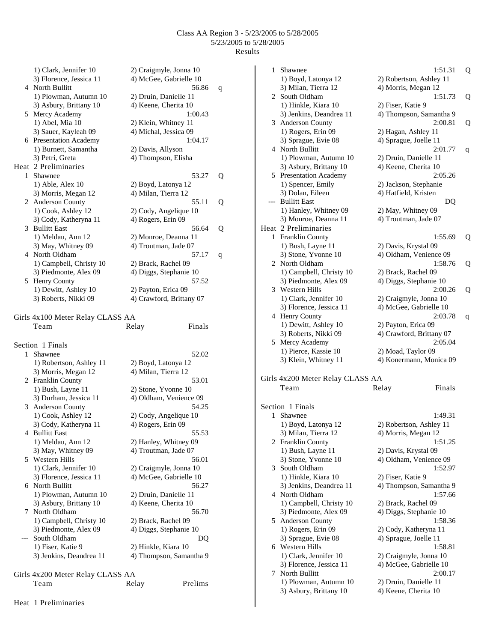1) Clark, Jennifer 10 2) Craigmyle, Jonna 10 3) Florence, Jessica 11 4) McGee, Gabrielle 10 4 North Bullitt 56.86 q 1) Plowman, Autumn 10 2) Druin, Danielle 11 3) Asbury, Brittany 10 4) Keene, Cherita 10 5 Mercy Academy 1:00.43 1) Abel, Mia 10 2) Klein, Whitney 11 3) Sauer, Kayleah 09 4) Michal, Jessica 09 6 Presentation Academy 1:04.17 1) Burnett, Samantha 2) Davis, Allyson 3) Petri, Greta 4) Thompson, Elisha Heat 2 Preliminaries 1 Shawnee 53.27 Q 1) Able, Alex 10 2) Boyd, Latonya 12 3) Morris, Megan 12 4) Milan, Tierra 12 2 Anderson County 55.11 Q 1) Cook, Ashley 12 2) Cody, Angelique 10 3) Cody, Katheryna 11 4) Rogers, Erin 09 3 Bullitt East 56.64 Q 1) Meldau, Ann 12 2) Monroe, Deanna 11 3) May, Whitney 09 4) Troutman, Jade 07 4 North Oldham 57.17 q 1) Campbell, Christy 10 2) Brack, Rachel 09 3) Piedmonte, Alex 09 4) Diggs, Stephanie 10 5 Henry County 57.52 1) Dewitt, Ashley 10 2) Payton, Erica 09 3) Roberts, Nikki 09 4) Crawford, Brittany 07 Girls 4x100 Meter Relay CLASS AA Team Relay Finals Section 1 Finals 1 Shawnee 52.02 1) Robertson, Ashley 11 2) Boyd, Latonya 12

3) Morris, Megan 12 4) Milan, Tierra 12 2 Franklin County 53.01 1) Bush, Layne 11 2) Stone, Yvonne 10 3) Durham, Jessica 11 4) Oldham, Venience 09 3 Anderson County 54.25 1) Cook, Ashley 12 2) Cody, Angelique 10 3) Cody, Katheryna 11 4) Rogers, Erin 09 4 Bullitt East 55.53 1) Meldau, Ann 12 2) Hanley, Whitney 09 3) May, Whitney 09 4) Troutman, Jade 07 5 Western Hills 56.01 1) Clark, Jennifer 10 2) Craigmyle, Jonna 10 3) Florence, Jessica 11 4) McGee, Gabrielle 10 6 North Bullitt 56.27 1) Plowman, Autumn 10 2) Druin, Danielle 11 3) Asbury, Brittany 10 4) Keene, Cherita 10 7 North Oldham 56.70<br>1) Campbell, Christy 10 2) Brack, Rachel 09 1) Campbell, Christy 10 3) Piedmonte, Alex 09 4) Diggs, Stephanie 10 --- South Oldham DQ 1) Fiser, Katie 9 2) Hinkle, Kiara 10 3) Jenkins, Deandrea 11 4) Thompson, Samantha 9 Girls 4x200 Meter Relay CLASS AA

| Team |  |  |
|------|--|--|
|      |  |  |

1 Shawnee 1:51.31 Q 1) Boyd, Latonya 12 2) Robertson, Ashley 11 3) Milan, Tierra 12 4) Morris, Megan 12 2 South Oldham 1:51.73 Q 1) Hinkle, Kiara 10 2) Fiser, Katie 9 3) Jenkins, Deandrea 11 4) Thompson, Samantha 9 3 Anderson County 2:00.81 Q 1) Rogers, Erin 09 2) Hagan, Ashley 11 3) Sprague, Evie 08 4) Sprague, Joelle 11 4 North Bullitt 2:01.77 q 1) Plowman, Autumn 10 2) Druin, Danielle 11 3) Asbury, Brittany 10 4) Keene, Cherita 10 5 Presentation Academy 2:05.26 1) Spencer, Emily 2) Jackson, Stephanie 3) Dolan, Eileen 4) Hatfield, Kristen --- Bullitt East DQ 1) Hanley, Whitney 09 2) May, Whitney 09 3) Monroe, Deanna 11 4) Troutman, Jade 07 Heat 2 Preliminaries 1 Franklin County 1:55.69 Q 1) Bush, Layne 11 2) Davis, Krystal 09 3) Stone, Yvonne 10 4) Oldham, Venience 09 2 North Oldham 1:58.76 Q 1) Campbell, Christy 10 2) Brack, Rachel 09 3) Piedmonte, Alex 09 4) Diggs, Stephanie 10 3 Western Hills 2:00.26 Q 1) Clark, Jennifer 10 2) Craigmyle, Jonna 10 3) Florence, Jessica 11 4) McGee, Gabrielle 10 4 Henry County 2:03.78 q 1) Dewitt, Ashley 10 2) Payton, Erica 09 3) Roberts, Nikki 09 4) Crawford, Brittany 07 5 Mercy Academy 2:05.04 1) Pierce, Kassie 10 2) Moad, Taylor 09 3) Klein, Whitney 11 4) Konermann, Monica 09 Girls 4x200 Meter Relay CLASS AA Team Relay Finals Section 1 Finals 1 Shawnee 1:49.31 1) Boyd, Latonya 12 2) Robertson, Ashley 11<br>3) Milan, Tierra 12 4) Morris, Megan 12 4) Morris, Megan 12 2 Franklin County 1:51.25 1) Bush, Layne 11 2) Davis, Krystal 09 3) Stone, Yvonne 10 4) Oldham, Venience 09 3 South Oldham 1:52.97 1) Hinkle, Kiara 10 2) Fiser, Katie 9 3) Jenkins, Deandrea 11 4) Thompson, Samantha 9 4 North Oldham 1:57.66 1) Campbell, Christy 10 2) Brack, Rachel 09 3) Piedmonte, Alex 09 4) Diggs, Stephanie 10 5 Anderson County 1:58.36 1) Rogers, Erin 09 2) Cody, Katheryna 11 3) Sprague, Evie 08 4) Sprague, Joelle 11 6 Western Hills 1:58.81 1) Clark, Jennifer 10 2) Craigmyle, Jonna 10 3) Florence, Jessica 11 4) McGee, Gabrielle 10 7 North Bullitt 2:00.17

1) Plowman, Autumn 10 2) Druin, Danielle 11 3) Asbury, Brittany 10 4) Keene, Cherita 10

Heat 1 Preliminaries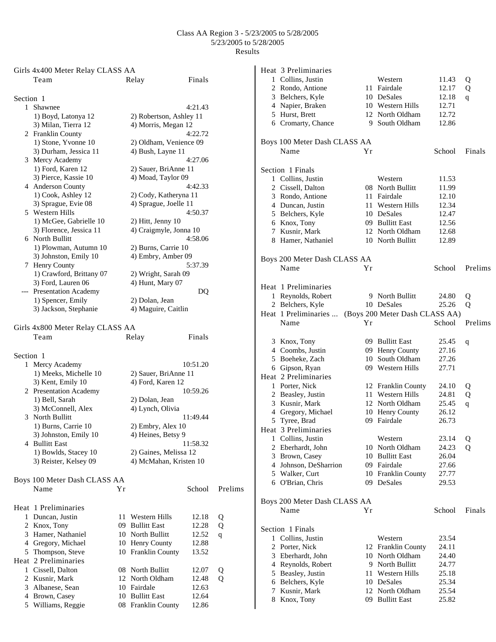|           | Girls 4x400 Meter Relay CLASS AA         |    |                         |                |         |
|-----------|------------------------------------------|----|-------------------------|----------------|---------|
|           | Team                                     |    | Relay                   | Finals         |         |
|           |                                          |    |                         |                |         |
| Section 1 | 1 Shawnee                                |    |                         |                |         |
|           |                                          |    |                         | 4:21.43        |         |
|           | 1) Boyd, Latonya 12                      |    | 2) Robertson, Ashley 11 |                |         |
|           | 3) Milan, Tierra 12                      |    | 4) Morris, Megan 12     |                |         |
|           | 2 Franklin County                        |    |                         | 4:22.72        |         |
|           | 1) Stone, Yvonne 10                      |    | 2) Oldham, Venience 09  |                |         |
|           | 3) Durham, Jessica 11                    |    | 4) Bush, Layne 11       |                |         |
|           | 3 Mercy Academy                          |    |                         | 4:27.06        |         |
|           | 1) Ford, Karen 12                        |    | 2) Sauer, BriAnne 11    |                |         |
|           | 3) Pierce, Kassie 10                     |    | 4) Moad, Taylor 09      |                |         |
|           | 4 Anderson County                        |    |                         | 4:42.33        |         |
|           | 1) Cook, Ashley 12                       |    | 2) Cody, Katheryna 11   |                |         |
|           | 3) Sprague, Evie 08                      |    | 4) Sprague, Joelle 11   |                |         |
|           | 5 Western Hills                          |    |                         | 4:50.37        |         |
|           | 1) McGee, Gabrielle 10                   |    | 2) Hitt, Jenny 10       |                |         |
|           | 3) Florence, Jessica 11                  |    | 4) Craigmyle, Jonna 10  |                |         |
|           | 6 North Bullitt                          |    |                         | 4:58.06        |         |
|           | 1) Plowman, Autumn 10                    |    | 2) Burns, Carrie 10     |                |         |
|           | 3) Johnston, Emily 10                    |    | 4) Embry, Amber 09      |                |         |
|           | 7 Henry County                           |    |                         | 5:37.39        |         |
|           | 1) Crawford, Brittany 07                 |    | 2) Wright, Sarah 09     |                |         |
|           | 3) Ford, Lauren 06                       |    | 4) Hunt, Mary 07        |                |         |
|           | --- Presentation Academy                 |    |                         | DQ             |         |
|           | 1) Spencer, Emily                        |    | 2) Dolan, Jean          |                |         |
|           | 3) Jackson, Stephanie                    |    | 4) Maguire, Caitlin     |                |         |
|           | Girls 4x800 Meter Relay CLASS AA<br>Team |    | Relay                   | Finals         |         |
| Section 1 |                                          |    |                         |                |         |
| 1         | Mercy Academy                            |    |                         | 10:51.20       |         |
|           | 1) Meeks, Michelle 10                    |    | 2) Sauer, BriAnne 11    |                |         |
|           | 3) Kent, Emily 10                        |    | 4) Ford, Karen 12       |                |         |
|           | 2 Presentation Academy                   |    |                         | 10:59.26       |         |
|           | 1) Bell, Sarah                           |    | 2) Dolan, Jean          |                |         |
|           | 3) McConnell, Alex                       |    | 4) Lynch, Olivia        |                |         |
|           | 3 North Bullitt                          |    |                         | 11:49.44       |         |
|           | 1) Burns, Carrie 10                      |    | 2) Embry, Alex 10       |                |         |
|           | 3) Johnston, Emily 10                    |    | 4) Heines, Betsy 9      |                |         |
|           | 4 Bullitt East                           |    |                         | 11:58.32       |         |
|           | 1) Bowlds, Stacey 10                     |    | 2) Gaines, Melissa 12   |                |         |
|           | 3) Reister, Kelsey 09                    |    | 4) McMahan, Kristen 10  |                |         |
|           |                                          |    |                         |                |         |
|           | Boys 100 Meter Dash CLASS AA             |    |                         |                |         |
|           | Name                                     | Υr |                         | School         | Prelims |
|           |                                          |    |                         |                |         |
|           | Heat 1 Preliminaries                     |    |                         |                |         |
| 1         | Duncan, Justin                           | 11 | Western Hills           | 12.18          | Q       |
|           | 2 Knox, Tony                             | 09 | <b>Bullitt East</b>     | 12.28          | Q       |
|           | 3 Hamer, Nathaniel                       | 10 | North Bullitt           | 12.52          | q       |
|           | 4 Gregory, Michael                       |    | 10 Henry County         | 12.88          |         |
|           | 5 Thompson, Steve                        |    | 10 Franklin County      | 13.52          |         |
|           | Heat 2 Preliminaries                     |    |                         |                |         |
|           | 1 Cissell, Dalton                        |    | 08 North Bullitt        |                |         |
|           | 2 Kusnir, Mark                           | 12 | North Oldham            | 12.07          | Q<br>Q  |
|           | 3 Albanese, Sean                         |    | 10 Fairdale             | 12.48<br>12.63 |         |
|           |                                          |    | 10 Bullitt East         | 12.64          |         |
|           | 4 Brown, Casey                           |    |                         | 12.86          |         |
|           | 5 Williams, Reggie                       |    | 08 Franklin County      |                |         |

|  | Heat 3 Preliminaries         |    |                                |        |         |
|--|------------------------------|----|--------------------------------|--------|---------|
|  | 1 Collins, Justin            |    | Western                        | 11.43  | Q       |
|  | 2 Rondo, Antione             |    | 11 Fairdale                    | 12.17  | Q       |
|  | 3 Belchers, Kyle             |    | 10 DeSales                     | 12.18  | q       |
|  | 4 Napier, Braken             |    | 10 Western Hills               | 12.71  |         |
|  | 5 Hurst, Brett               |    | 12 North Oldham                | 12.72  |         |
|  | 6 Cromarty, Chance           |    | 9 South Oldham                 | 12.86  |         |
|  | Boys 100 Meter Dash CLASS AA |    |                                |        |         |
|  | Name                         | Υr |                                | School | Finals  |
|  |                              |    |                                |        |         |
|  | Section 1 Finals             |    |                                |        |         |
|  | 1 Collins, Justin            |    | Western                        | 11.53  |         |
|  | 2 Cissell, Dalton            |    | 08 North Bullitt               | 11.99  |         |
|  | 3 Rondo, Antione             |    | 11 Fairdale                    | 12.10  |         |
|  | 4 Duncan, Justin             |    | 11 Western Hills               | 12.34  |         |
|  | 5 Belchers, Kyle             |    | 10 DeSales                     | 12.47  |         |
|  | 6 Knox, Tony                 |    | 09 Bullitt East                | 12.56  |         |
|  | 7 Kusnir, Mark               |    | 12 North Oldham                | 12.68  |         |
|  | 8 Hamer, Nathaniel           |    | 10 North Bullitt               | 12.89  |         |
|  |                              |    |                                |        |         |
|  | Boys 200 Meter Dash CLASS AA |    |                                |        |         |
|  | Name                         | Yr |                                | School | Prelims |
|  |                              |    |                                |        |         |
|  | Heat 1 Preliminaries         |    |                                |        |         |
|  | 1 Reynolds, Robert           |    | 9 North Bullitt                | 24.80  | Q       |
|  | 2 Belchers, Kyle             |    | 10 DeSales                     | 25.26  | Q       |
|  | Heat 1 Preliminaries         |    | (Boys 200 Meter Dash CLASS AA) |        |         |
|  | Name                         | Yr |                                | School | Prelims |
|  |                              |    |                                |        |         |
|  | 3 Knox, Tony                 |    | 09 Bullitt East                | 25.45  | q       |
|  | 4 Coombs, Justin             |    | 09 Henry County                | 27.16  |         |
|  | 5 Boeheke, Zach              |    | 10 South Oldham                | 27.26  |         |
|  | 6 Gipson, Ryan               |    | 09 Western Hills               | 27.71  |         |
|  | Heat 2 Preliminaries         |    |                                |        |         |
|  | 1 Porter, Nick               |    | 12 Franklin County             | 24.10  | Q       |
|  | 2 Beasley, Justin            |    | 11 Western Hills               | 24.81  | Q       |
|  | 3 Kusnir, Mark               |    | 12 North Oldham                | 25.45  | q       |
|  | 4 Gregory, Michael           |    | 10 Henry County                | 26.12  |         |
|  | 5 Tyree, Brad                |    | 09 Fairdale                    | 26.73  |         |
|  | Heat 3 Preliminaries         |    |                                |        |         |
|  | 1 Collins, Justin            |    | Western                        | 23.14  | Q       |
|  | 2 Eberhardt, John            |    | 10 North Oldham                | 24.23  | Q       |
|  | 3 Brown, Casey               |    | 10 Bullitt East                | 26.04  |         |
|  | 4 Johnson, DeSharrion        |    | 09 Fairdale                    | 27.66  |         |
|  | 5 Walker, Curt               |    | 10 Franklin County             | 27.77  |         |
|  | 6 O'Brian, Chris             |    | 09 DeSales                     | 29.53  |         |
|  |                              |    |                                |        |         |
|  | Boys 200 Meter Dash CLASS AA |    |                                |        |         |
|  | Name                         | Υr |                                | School | Finals  |
|  |                              |    |                                |        |         |
|  | Section 1 Finals             |    |                                |        |         |
|  | 1 Collins, Justin            |    | Western                        | 23.54  |         |
|  | 2 Porter, Nick               |    | 12 Franklin County             | 24.11  |         |
|  | 3 Eberhardt, John            |    | 10 North Oldham                | 24.40  |         |
|  | 4 Reynolds, Robert           |    | 9 North Bullitt                | 24.77  |         |
|  | 5 Beasley, Justin            |    | 11 Western Hills               | 25.18  |         |
|  | 6 Belchers, Kyle             |    | 10 DeSales                     | 25.34  |         |
|  | 7 Kusnir, Mark               |    | 12 North Oldham                | 25.54  |         |
|  | 8 Knox, Tony                 |    | 09 Bullitt East                | 25.82  |         |
|  |                              |    |                                |        |         |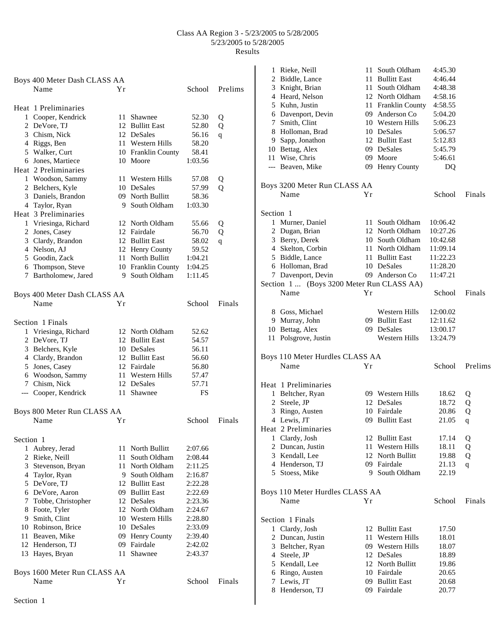|           | Boys 400 Meter Dash CLASS AA |      |                    |         |              |
|-----------|------------------------------|------|--------------------|---------|--------------|
|           | Name                         | Υr   |                    | School  | Prelims      |
|           |                              |      |                    |         |              |
|           | Heat 1 Preliminaries         |      |                    |         |              |
|           | 1 Cooper, Kendrick           |      | 11 Shawnee         | 52.30   | Q            |
|           | 2 DeVore, TJ                 |      | 12 Bullitt East    | 52.80   | Q            |
|           | 3 Chism, Nick                |      | 12 DeSales         | 56.16   | q            |
|           | 4 Riggs, Ben                 |      | 11 Western Hills   | 58.20   |              |
|           | 5 Walker, Curt               |      | 10 Franklin County | 58.41   |              |
|           | 6 Jones, Martiece            |      | 10 Moore           | 1:03.56 |              |
|           | Heat 2 Preliminaries         |      |                    |         |              |
|           | 1 Woodson, Sammy             |      | 11 Western Hills   | 57.08   | Q            |
|           | 2 Belchers, Kyle             |      | 10 DeSales         | 57.99   | $\mathbf{O}$ |
|           | 3 Daniels, Brandon           |      | 09 North Bullitt   | 58.36   |              |
|           | 4 Taylor, Ryan               |      | 9 South Oldham     | 1:03.30 |              |
|           | Heat 3 Preliminaries         |      |                    |         |              |
|           | 1 Vriesinga, Richard         |      | 12 North Oldham    | 55.66   | Q            |
|           | 2 Jones, Casey               |      | 12 Fairdale        | 56.70   | Q            |
|           | 3 Clardy, Brandon            |      | 12 Bullitt East    | 58.02   | q            |
|           | 4 Nelson, AJ                 |      | 12 Henry County    | 59.52   |              |
|           | 5 Goodin, Zack               |      | 11 North Bullitt   | 1:04.21 |              |
|           | 6 Thompson, Steve            |      | 10 Franklin County | 1:04.25 |              |
|           | 7 Bartholomew, Jared         |      | 9 South Oldham     | 1:11.45 |              |
|           | Boys 400 Meter Dash CLASS AA |      |                    |         |              |
|           | Name                         | Υr   |                    | School  | Finals       |
|           |                              |      |                    |         |              |
|           | Section 1 Finals             |      |                    |         |              |
|           | 1 Vriesinga, Richard         |      | 12 North Oldham    | 52.62   |              |
|           | 2 DeVore, TJ                 |      | 12 Bullitt East    | 54.57   |              |
|           | 3 Belchers, Kyle             |      | 10 DeSales         | 56.11   |              |
|           | 4 Clardy, Brandon            |      | 12 Bullitt East    | 56.60   |              |
|           | 5 Jones, Casey               |      | 12 Fairdale        | 56.80   |              |
|           | 6 Woodson, Sammy             |      | 11 Western Hills   | 57.47   |              |
|           | 7 Chism, Nick                |      | 12 DeSales         | 57.71   |              |
|           | --- Cooper, Kendrick         | 11 - | Shawnee            | FS      |              |
|           |                              |      |                    |         |              |
|           | Boys 800 Meter Run CLASS AA  |      |                    |         |              |
|           | Name                         | Υr   |                    | School  | Finals       |
| Section 1 |                              |      |                    |         |              |
|           | 1 Aubrey, Jerad              |      | 11 North Bullitt   | 2:07.66 |              |
|           | 2 Rieke, Neill               | 11   | South Oldham       | 2:08.44 |              |
|           | 3 Stevenson, Bryan           | 11   | North Oldham       | 2:11.25 |              |
|           | 4 Taylor, Ryan               |      | 9 South Oldham     | 2:16.87 |              |
|           | 5 DeVore, TJ                 |      | 12 Bullitt East    | 2:22.28 |              |
|           | 6 DeVore, Aaron              |      | 09 Bullitt East    | 2:22.69 |              |
|           | 7 Tobbe, Christopher         |      | 12 DeSales         | 2:23.36 |              |
|           | 8 Foote, Tyler               |      | 12 North Oldham    | 2:24.67 |              |
|           | 9 Smith, Clint               |      | 10 Western Hills   | 2:28.80 |              |
|           | 10 Robinson, Brice           |      | 10 DeSales         | 2:33.09 |              |
|           | 11 Beaven, Mike              |      | 09 Henry County    | 2:39.40 |              |
|           | 12 Henderson, TJ             |      | 09 Fairdale        | 2:42.02 |              |
|           | 13 Hayes, Bryan              | 11   | Shawnee            | 2:43.37 |              |
|           |                              |      |                    |         |              |
|           | Boys 1600 Meter Run CLASS AA |      |                    |         |              |
|           | Name                         | Υr   |                    | School  | Finals       |
| Section 1 |                              |      |                    |         |              |
|           |                              |      |                    |         |              |

| 1         | Rieke, Neill                              | 11   | South Oldham        | 4:45.30  |         |
|-----------|-------------------------------------------|------|---------------------|----------|---------|
|           | 2 Biddle, Lance                           |      | 11 Bullitt East     | 4:46.44  |         |
|           | 3 Knight, Brian                           | 11 - | South Oldham        | 4:48.38  |         |
|           | 4 Heard, Nelson                           |      | 12 North Oldham     | 4:58.16  |         |
|           | 5 Kuhn, Justin                            |      | 11 Franklin County  | 4:58.55  |         |
|           | 6 Davenport, Devin                        |      | 09 Anderson Co      | 5:04.20  |         |
| 7         | Smith, Clint                              |      | 10 Western Hills    | 5:06.23  |         |
|           | 8 Holloman, Brad                          |      | 10 DeSales          | 5:06.57  |         |
| 9         | Sapp, Jonathon                            |      | 12 Bullitt East     | 5:12.83  |         |
|           | 10 Bettag, Alex                           |      | 09 DeSales          | 5:45.79  |         |
| 11        | Wise, Chris                               |      | 09 Moore            | 5:46.61  |         |
|           | --- Beaven, Mike                          |      | 09 Henry County     | DQ       |         |
|           | Boys 3200 Meter Run CLASS AA              |      |                     |          |         |
|           | Name                                      | Yr   |                     | School   | Finals  |
| Section 1 |                                           |      |                     |          |         |
|           | 1 Murner, Daniel                          | 11 - | South Oldham        | 10:06.42 |         |
|           | 2 Dugan, Brian                            |      | 12 North Oldham     | 10:27.26 |         |
|           | 3 Berry, Derek                            |      | 10 South Oldham     | 10:42.68 |         |
|           | 4 Skelton, Corbin                         |      | 11 North Oldham     | 11:09.14 |         |
|           | 5 Biddle, Lance                           |      | 11 Bullitt East     | 11:22.23 |         |
|           | 6 Holloman, Brad                          |      | 10 DeSales          | 11:28.20 |         |
|           | 7 Davenport, Devin                        |      | 09 Anderson Co      | 11:47.21 |         |
|           | Section 1  (Boys 3200 Meter Run CLASS AA) |      |                     |          |         |
|           | Name                                      | Υr   |                     | School   | Finals  |
|           | 8 Goss, Michael                           |      | Western Hills       | 12:00.02 |         |
| 9.        | Murray, John                              |      | 09 Bullitt East     | 12:11.62 |         |
|           | 10 Bettag, Alex                           |      | 09 DeSales          | 13:00.17 |         |
|           | 11 Polsgrove, Justin                      |      | Western Hills       | 13:24.79 |         |
|           | Boys 110 Meter Hurdles CLASS AA           |      |                     |          |         |
|           | Name                                      | Yr   |                     | School   | Prelims |
|           | Heat 1 Preliminaries                      |      |                     |          |         |
|           | 1 Beltcher, Ryan                          |      | 09 Western Hills    | 18.62    | Q       |
|           | 2 Steele, JP                              |      | 12 DeSales          | 18.72    | Q       |
| 3         | Ringo, Austen                             |      | 10 Fairdale         | 20.86    | Q       |
|           | 4 Lewis, JT                               |      | 09 Bullitt East     | 21.05    | q       |
|           | Heat 2 Preliminaries                      |      |                     |          |         |
|           | 1 Clardy, Josh                            |      | 12 Bullitt East     | 17.14    | Q       |
| 2         | Duncan, Justin                            | 11-  | Western Hills       | 18.11    | Q       |
| 3         | Kendall, Lee                              | 12   | North Bullitt       | 19.88    | Q       |
|           | 4 Henderson, TJ                           |      | 09 Fairdale         | 21.13    | q       |
| 5         | Stoess, Mike                              |      | 9 South Oldham      | 22.19    |         |
|           | Boys 110 Meter Hurdles CLASS AA           |      |                     |          |         |
|           | Name                                      | Yr   |                     | School   | Finals  |
|           | Section 1 Finals                          |      |                     |          |         |
| 1         | Clardy, Josh                              | 12   | <b>Bullitt East</b> | 17.50    |         |
| 2         | Duncan, Justin                            | 11   | Western Hills       | 18.01    |         |
| 3         | Beltcher, Ryan                            |      | 09 Western Hills    | 18.07    |         |
|           | 4 Steele, JP                              |      | 12 DeSales          | 18.89    |         |
| 5         | Kendall, Lee                              |      | 12 North Bullitt    | 19.86    |         |
| 6         | Ringo, Austen                             |      | 10 Fairdale         | 20.65    |         |
| 7         | Lewis, JT                                 |      | 09 Bullitt East     | 20.68    |         |
| 8         | Henderson, TJ                             |      | 09 Fairdale         | 20.77    |         |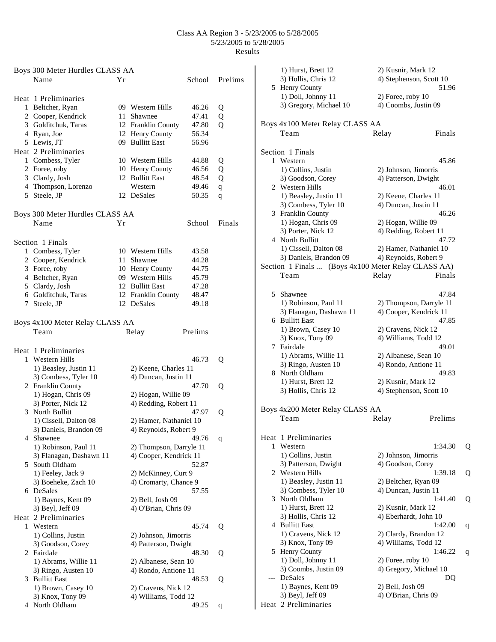|    | Boys 300 Meter Hurdles CLASS AA     |    |                                    |                |             |
|----|-------------------------------------|----|------------------------------------|----------------|-------------|
|    | Name                                | Υr |                                    | School         | Prelims     |
|    |                                     |    |                                    |                |             |
|    | Heat 1 Preliminaries                |    |                                    |                |             |
|    | 1 Beltcher, Ryan                    |    | 09 Western Hills                   | 46.26          | Q           |
|    | 2 Cooper, Kendrick                  | 11 | Shawnee                            | 47.41          | Q           |
|    | 3 Golditchuk, Taras                 |    | 12 Franklin County                 | 47.80          | Q           |
|    | 4 Ryan, Joe                         |    | 12 Henry County                    | 56.34          |             |
|    | 5 Lewis, JT                         |    | 09 Bullitt East                    | 56.96          |             |
|    | Heat 2 Preliminaries                |    |                                    |                |             |
|    | 1 Combess, Tyler                    |    | 10 Western Hills                   | 44.88          | Q           |
|    | 2 Foree, roby                       |    | 10 Henry County<br>12 Bullitt East | 46.56          | Q           |
|    | 3 Clardy, Josh                      |    | Western                            | 48.54          | Q           |
|    | 4 Thompson, Lorenzo<br>5 Steele, JP |    | 12 DeSales                         | 49.46<br>50.35 | $\mathbf q$ |
|    |                                     |    |                                    |                | q           |
|    | Boys 300 Meter Hurdles CLASS AA     |    |                                    |                |             |
|    | Name                                | Υr |                                    | School         | Finals      |
|    |                                     |    |                                    |                |             |
|    | Section 1 Finals                    |    |                                    |                |             |
|    | 1 Combess, Tyler                    |    | 10 Western Hills                   | 43.58          |             |
|    | 2 Cooper, Kendrick                  |    | 11 Shawnee                         | 44.28          |             |
|    | 3 Foree, roby                       |    | 10 Henry County                    | 44.75          |             |
|    | 4 Beltcher, Ryan                    |    | 09 Western Hills                   | 45.79          |             |
|    | 5 Clardy, Josh                      |    | 12 Bullitt East                    | 47.28          |             |
|    | 6 Golditchuk, Taras                 |    | 12 Franklin County                 | 48.47          |             |
|    | 7 Steele, JP                        |    | 12 DeSales                         | 49.18          |             |
|    |                                     |    |                                    |                |             |
|    | Boys 4x100 Meter Relay CLASS AA     |    |                                    |                |             |
|    | Team                                |    | Relay                              | Prelims        |             |
|    |                                     |    |                                    |                |             |
|    | Heat 1 Preliminaries                |    |                                    |                |             |
|    | 1 Western Hills                     |    |                                    | 46.73          | Q           |
|    | 1) Beasley, Justin 11               |    | 2) Keene, Charles 11               |                |             |
|    | 3) Combess, Tyler 10                |    | 4) Duncan, Justin 11               |                |             |
|    | 2 Franklin County                   |    |                                    | 47.70          | Q           |
|    | 1) Hogan, Chris 09                  |    | 2) Hogan, Willie 09                |                |             |
|    | 3) Porter, Nick 12                  |    | 4) Redding, Robert 11              |                |             |
|    | 3 North Bullitt                     |    |                                    | 47.97          | Q           |
|    | 1) Cissell, Dalton 08               |    | 2) Hamer, Nathaniel 10             |                |             |
|    | 3) Daniels, Brandon 09              |    | 4) Reynolds, Robert 9              |                |             |
|    | 4 Shawnee                           |    |                                    | 49.76          | q           |
|    | 1) Robinson, Paul 11                |    | 2) Thompson, Darryle 11            |                |             |
|    | 3) Flanagan, Dashawn 11             |    | 4) Cooper, Kendrick 11             |                |             |
| 5. | South Oldham                        |    |                                    | 52.87          |             |
|    | 1) Feeley, Jack 9                   |    | 2) McKinney, Curt 9                |                |             |
|    | 3) Boeheke, Zach 10                 |    | 4) Cromarty, Chance 9              |                |             |
|    | 6 DeSales                           |    |                                    | 57.55          |             |
|    | 1) Baynes, Kent 09                  |    | 2) Bell, Josh 09                   |                |             |
|    | 3) Beyl, Jeff 09                    |    | 4) O'Brian, Chris 09               |                |             |
|    | Heat 2 Preliminaries                |    |                                    |                |             |
| 1  | Western                             |    |                                    | 45.74          | Q           |
|    | 1) Collins, Justin                  |    | 2) Johnson, Jimorris               |                |             |
|    | 3) Goodson, Corey                   |    | 4) Patterson, Dwight               |                |             |
|    | 2 Fairdale                          |    |                                    | 48.30          | Q           |
|    | 1) Abrams, Willie 11                |    | 2) Albanese, Sean 10               |                |             |
|    | 3) Ringo, Austen 10                 |    | 4) Rondo, Antione 11               |                |             |
|    | 3 Bullitt East                      |    |                                    | 48.53          | Q           |
|    | 1) Brown, Casey 10                  |    | 2) Cravens, Nick 12                |                |             |
|    | 3) Knox, Tony 09                    |    | 4) Williams, Todd 12               |                |             |
|    | 4 North Oldham                      |    |                                    | 49.25          | q           |

|     | 1) Hurst, Brett 12<br>3) Hollis, Chris 12<br>5 Henry County | 2) Kusnir, Mark 12<br>4) Stephenson, Scott 10 | 51.96        |
|-----|-------------------------------------------------------------|-----------------------------------------------|--------------|
|     | 1) Doll, Johnny 11<br>3) Gregory, Michael 10                | 2) Foree, roby 10<br>4) Coombs, Justin 09     |              |
|     | Boys 4x100 Meter Relay CLASS AA<br>Team                     | Relay                                         | Finals       |
|     | Section 1 Finals                                            |                                               |              |
|     | 1 Western                                                   |                                               | 45.86        |
|     | 1) Collins, Justin                                          | 2) Johnson, Jimorris                          |              |
|     | 3) Goodson, Corey                                           | 4) Patterson, Dwight                          |              |
|     | 2 Western Hills                                             |                                               | 46.01        |
|     | 1) Beasley, Justin 11<br>3) Combess, Tyler 10               | 2) Keene, Charles 11<br>4) Duncan, Justin 11  |              |
|     | 3 Franklin County                                           |                                               | 46.26        |
|     | 1) Hogan, Chris 09                                          | 2) Hogan, Willie 09                           |              |
|     | 3) Porter, Nick 12                                          | 4) Redding, Robert 11                         |              |
|     | 4 North Bullitt                                             |                                               | 47.72        |
|     | 1) Cissell, Dalton 08                                       | 2) Hamer, Nathaniel 10                        |              |
|     | 3) Daniels, Brandon 09                                      | 4) Reynolds, Robert 9                         |              |
|     | Section 1 Finals  (Boys 4x100 Meter Relay CLASS AA)         |                                               |              |
|     | Team                                                        | Relay                                         | Finals       |
|     |                                                             |                                               |              |
|     | 5 Shawnee                                                   |                                               | 47.84        |
|     | 1) Robinson, Paul 11                                        | 2) Thompson, Darryle 11                       |              |
|     | 3) Flanagan, Dashawn 11                                     | 4) Cooper, Kendrick 11                        |              |
|     | 6 Bullitt East                                              |                                               | 47.85        |
|     | 1) Brown, Casey 10<br>3) Knox, Tony 09                      | 2) Cravens, Nick 12<br>4) Williams, Todd 12   |              |
|     | 7 Fairdale                                                  |                                               | 49.01        |
|     | 1) Abrams, Willie 11                                        | 2) Albanese, Sean 10                          |              |
|     | 3) Ringo, Austen 10                                         | 4) Rondo, Antione 11                          |              |
|     | 8 North Oldham                                              |                                               | 49.83        |
|     | 1) Hurst, Brett 12                                          | 2) Kusnir, Mark 12                            |              |
|     | 3) Hollis, Chris 12                                         | 4) Stephenson, Scott 10                       |              |
|     | Boys 4x200 Meter Relay CLASS AA                             |                                               |              |
|     | Team                                                        | Relay                                         | Prelims      |
|     |                                                             |                                               |              |
|     | Heat 1 Preliminaries                                        |                                               |              |
| 1   | Western                                                     |                                               | 1:34.30<br>Q |
|     | 1) Collins, Justin                                          | 2) Johnson, Jimorris                          |              |
|     | 3) Patterson, Dwight                                        | 4) Goodson, Corey                             |              |
|     | 2 Western Hills                                             |                                               | 1:39.18<br>Q |
|     | 1) Beasley, Justin 11                                       | 2) Beltcher, Ryan 09                          |              |
|     | 3) Combess, Tyler 10<br>3 North Oldham                      | 4) Duncan, Justin 11                          | 1:41.40      |
|     | 1) Hurst, Brett 12                                          | 2) Kusnir, Mark 12                            | Q            |
|     | 3) Hollis, Chris 12                                         | 4) Eberhardt, John 10                         |              |
| 4   | <b>Bullitt East</b>                                         |                                               | 1:42.00<br>q |
|     | 1) Cravens, Nick 12                                         | 2) Clardy, Brandon 12                         |              |
|     | 3) Knox, Tony 09                                            | 4) Williams, Todd 12                          |              |
| 5   | Henry County                                                |                                               | 1:46.22<br>q |
|     | 1) Doll, Johnny 11                                          | 2) Foree, roby 10                             |              |
|     | 3) Coombs, Justin 09                                        | 4) Gregory, Michael 10                        |              |
| --- | DeSales                                                     |                                               | DQ           |
|     | 1) Baynes, Kent 09                                          | 2) Bell, Josh 09                              |              |
|     | 3) Beyl, Jeff 09                                            | 4) O'Brian, Chris 09                          |              |
|     | Heat 2 Preliminaries                                        |                                               |              |
|     |                                                             |                                               |              |